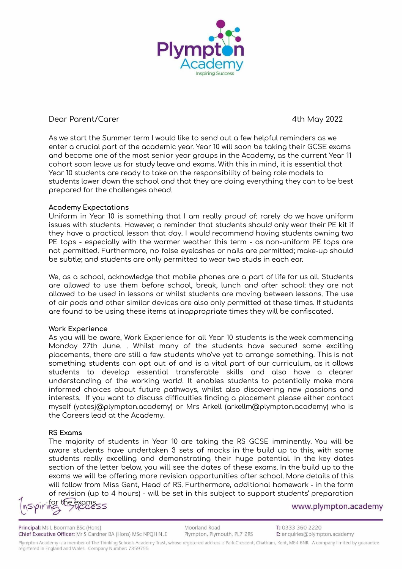

# Dear Parent/Carer 4th May 2022

As we start the Summer term I would like to send out a few helpful reminders as we enter a crucial part of the academic year. Year 10 will soon be taking their GCSE exams and become one of the most senior year groups in the Academy, as the current Year 11 cohort soon leave us for study leave and exams. With this in mind, it is essential that Year 10 students are ready to take on the responsibility of being role models to students lower down the school and that they are doing everything they can to be best prepared for the challenges ahead.

## **Academy Expectations**

Uniform in Year 10 is something that I am really proud of: rarely do we have uniform issues with students. However, a reminder that students should only wear their PE kit if they have a practical lesson that day. I would recommend having students owning two PE tops - especially with the warmer weather this term - as non-uniform PE tops are not permitted. Furthermore, no false eyelashes or nails are permitted; make-up should be subtle; and students are only permitted to wear two studs in each ear.

We, as a school, acknowledge that mobile phones are a part of life for us all. Students are allowed to use them before school, break, lunch and after school: they are not allowed to be used in lessons or whilst students are moving between lessons. The use of air pods and other similar devices are also only permitted at these times. If students are found to be using these items at inappropriate times they will be confiscated.

#### **Work Experience**

As you will be aware, Work Experience for all Year 10 students is the week commencing Monday 27th June. . Whilst many of the students have secured some exciting placements, there are still a few students who've yet to arrange something. This is not something students can opt out of and is a vital part of our curriculum, as it allows students to develop essential transferable skills and also have a clearer understanding of the working world. It enables students to potentially make more informed choices about future pathways, whilst also discovering new passions and interests. If you want to discuss difficulties finding a placement please either contact myself (yatesj@plympton.academy) or Mrs Arkell (arkellm@plympton.academy) who is the Careers lead at the Academy.

# **RS Exams**

The majority of students in Year 10 are taking the RS GCSE imminently. You will be aware students have undertaken 3 sets of mocks in the build up to this, with some students really excelling and demonstrating their huge potential. In the key dates section of the letter below, you will see the dates of these exams. In the build up to the exams we will be offering more revision opportunities after school. More details of this will follow from Miss Gent, Head of RS. Furthermore, additional homework - in the form of revision (up to 4 hours) - will be set in this subject to support students' preparation

the exams  $55$ 

www.plympton.academy

Principal: Ms L Boorman BSc (Hons) Chief Executive Officer: Mr S Gardner BA (Hons) MSc NPQH NLE Moorland Road Plympton, Plymouth, PL7 2RS

Plympton Academy is a member of The Thinking Schools Academy Trust, whose registered address is Park Crescent, Chatham, Kent, ME4 6NR. A company limited by guarantee registered in England and Wales. Company Number: 7359755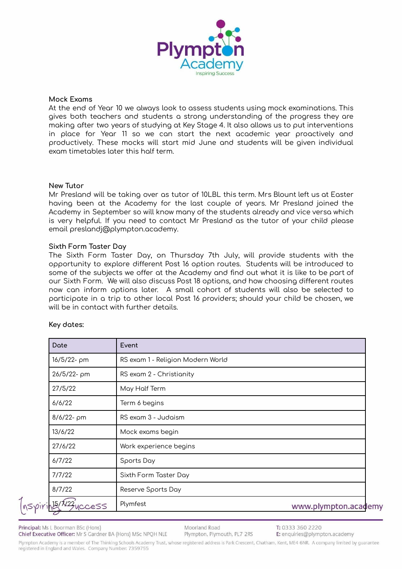

#### **Mock Exams**

At the end of Year 10 we always look to assess students using mock examinations. This gives both teachers and students a strong understanding of the progress they are making after two years of studying at Key Stage 4. It also allows us to put interventions in place for Year 11 so we can start the next academic year proactively and productively. These mocks will start mid June and students will be given individual exam timetables later this half term.

#### **New Tutor**

Mr Presland will be taking over as tutor of 10LBL this term. Mrs Blount left us at Easter having been at the Academy for the last couple of years. Mr Presland joined the Academy in September so will know many of the students already and vice versa which is very helpful. If you need to contact Mr Presland as the tutor of your child please email preslandj@plympton.academy.

## **Sixth Form Taster Day**

The Sixth Form Taster Day, on Thursday 7th July, will provide students with the opportunity to explore different Post 16 option routes. Students will be introduced to some of the subjects we offer at the Academy and find out what it is like to be part of our Sixth Form. We will also discuss Post 18 options, and how choosing different routes now can inform options later. A small cohort of students will also be selected to participate in a trip to other local Post 16 providers; should your child be chosen, we will be in contact with further details.

| Date              | Event                             |                      |
|-------------------|-----------------------------------|----------------------|
| 16/5/22- pm       | RS exam 1 - Religion Modern World |                      |
| 26/5/22-pm        | RS exam 2 - Christianity          |                      |
| 27/5/22           | May Half Term                     |                      |
| 6/6/22            | Term 6 begins                     |                      |
| $8/6/22 - \rho m$ | RS exam 3 - Judaism               |                      |
| 13/6/22           | Mock exams begin                  |                      |
| 27/6/22           | Work experience begins            |                      |
| 6/7/22            | Sports Day                        |                      |
| 7/7/22            | Sixth Form Taster Day             |                      |
| 8/7/22            | Reserve Sports Day                |                      |
| ACCESS            | Plymfest                          | www.plympton.academy |

#### **Key dates:**

Principal: Ms L Boorman BSc (Hons) Chief Executive Officer: Mr S Gardner BA (Hons) MSc NPQH NLE Moorland Road Plympton, Plymouth, PL7 2RS

Plympton Academy is a member of The Thinking Schools Academy Trust, whose registered address is Park Crescent, Chatham, Kent, ME4 6NR. A company limited by guarantee registered in England and Wales. Company Number: 7359755